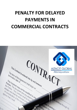## **PENALTY FOR DELAYED PAYMENTS IN COMMERCIAL CONTRACTS**

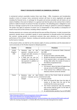## **PENALTY FOR DELAYED PAYMENTS IN COMMERCIAL CONTRACTS**

A commercial contract essentially involves three main things – Offer, Acceptance and Consideration (usually in terms of money). Every commercial contract will have its terms negotiated and agreed including the financial terms, in exchange for the goods and services provided and will clearly set out extent of liability in the event of default. It is a general rule that the party to the contract that is held to perform is liable for breach of contract if he does not perform. The defaulting party is obligated to cover the loss or damage caused by him to the innocent party for failing to uphold his contractual obligation. The parties may agree to payment of certain sum as compensation or levy penalty as consequence of breach of any terms of the contract, including a delay in payment.

Overdue payments are a menace and could disrupt the ease and flow of business. In order to prevent late payments, penalty clause is provided in goods or service agreement to dissuade parties from breaching the contract. Levying penalty in commercial contracts may seem attractive as it may enforce the performance of the contract. However, invoking such penalty provisions are met with restrictions either by the Courts or statutes.

In this present article, we shall list out the statutory rights of various jurisdictions and the observation of courts exclusively on the Penalty imposed on delayed payments.

| Country                   | <b>Inference</b>                                                                                                                                                                                                                                                      | <b>Provisions</b>                                                                                                                                                                                                                                                                                                                                                                                                                                                                                                                                         |
|---------------------------|-----------------------------------------------------------------------------------------------------------------------------------------------------------------------------------------------------------------------------------------------------------------------|-----------------------------------------------------------------------------------------------------------------------------------------------------------------------------------------------------------------------------------------------------------------------------------------------------------------------------------------------------------------------------------------------------------------------------------------------------------------------------------------------------------------------------------------------------------|
| United<br>Kingdom<br>(UK) | Statutory rules<br>late<br>on<br>$\bullet$<br>payment - Interests can be<br>charged and debt recovery<br>costs can be levied. <sup>1</sup><br>A fixed sum can also be<br>charged for recovering the<br>late payment in addition to<br>claiming interest. <sup>2</sup> | Late Payment of Commercial Debts (Interest)<br>Act 1998<br>Statutory period:<br>30 days for Public authorities (B2P)<br>➤<br>60 days for Business transactions (B2B)<br>➤<br>If the payment date is not agreed, it is late<br>➤<br>30 days after either the receipt of invoice or<br>the delivery of goods/services.<br><b>Statutory Interest:</b><br>$\bullet$<br>8% interest above the Bank of England base<br>➤<br>rate per annum for B2B transactions<br>If the Contract has a different interest rate,<br>➤<br>Statutory interest cannot be claimed. |
| France                    | rules<br>late<br>Statutory<br>on<br>$\bullet$<br>payment - Interests can be<br>charged                                                                                                                                                                                | Article L. 441-6 of the French Code de commerce<br>(Commercial code)<br>Statutory period:<br>Must not exceed 60 days from the date of<br>➤<br>invoice or 45 days from the end of the<br>month that the invoice was issued. <sup>3</sup><br>The French commercial code now provides<br>➤<br>that invoices shall be issued "on the date of<br>delivery or completion" <sup>4</sup><br>An administrative penalty of up to €375,000<br>➤                                                                                                                      |

<span id="page-1-0"></span><sup>&</sup>lt;sup>1</sup> <https://www.gov.uk/late-commercial-payments-interest-debt-recovery>

<span id="page-1-1"></span><sup>2</sup> <http://www.legislation.gov.uk/ukpga/1998/20/section/5A>

<span id="page-1-2"></span><sup>3</sup> [https://www.economie.gouv.fr/files/files/directions\\_services/mediateur-des-entreprises/PDF/english-guide.pdf](https://www.economie.gouv.fr/files/files/directions_services/mediateur-des-entreprises/PDF/english-guide.pdf)

<span id="page-1-3"></span><sup>&</sup>lt;sup>4</sup> within the meaning of paragraph 3, I of Article 289 of the French tax code (Code général des impôts).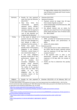|         |                                                                                                                                                                                                                                                                                                                                                                                                                                                                                                                                                                                                                                                                                                                                                                       | for legal entities replaces the criminal fine in<br>case of failure to comply with French invoice<br>legal requirements <sup>5</sup> ;                                                                                                                                                                                                                                                                                                                                                                                                                                                                           |
|---------|-----------------------------------------------------------------------------------------------------------------------------------------------------------------------------------------------------------------------------------------------------------------------------------------------------------------------------------------------------------------------------------------------------------------------------------------------------------------------------------------------------------------------------------------------------------------------------------------------------------------------------------------------------------------------------------------------------------------------------------------------------------------------|------------------------------------------------------------------------------------------------------------------------------------------------------------------------------------------------------------------------------------------------------------------------------------------------------------------------------------------------------------------------------------------------------------------------------------------------------------------------------------------------------------------------------------------------------------------------------------------------------------------|
| Germany | Penalty for late payment<br>$\bullet$<br>came into force by Directive<br>2011/7/EU. <sup>6</sup><br>New<br>time<br>limits<br>for<br>$\bullet$<br>contractually<br>agreed<br>default,<br>payment terms,<br>statutory interest on late<br>payment, claim for payment<br>of a fixed compensation in<br>case of late payment are<br>imposed by this directive. <sup>7</sup>                                                                                                                                                                                                                                                                                                                                                                                               | Directive 2011/7/EU<br>$\bullet$<br><b>Statutory Provisions:</b><br>Payment cannot be longer than 30 days<br>➤<br>from receipt of goods or service. <sup>8</sup><br>Fixed compensation of EUR 40 (new Sec. 288<br>➤<br>(5) sentence 1 BGB)<br>the default interest rate on claims for<br>⋗<br>payment was raised from 8 to 9 percentage<br>points above the basic rate of interest (new<br>Sec. 288 (2) BGB) <sup>9</sup>                                                                                                                                                                                        |
| Turkey  | In the event of default in<br>$\bullet$<br>payment of price, the other<br>party can claim damages for<br>such default or delay or<br>withdraw from the contract.<br>Parties<br>for<br>may agree<br>penalty clause if the primary<br>obligation is not fulfilled.<br>Therefore, a penal clause is<br>not a stand-alone clause. <sup>10</sup><br>the<br>main<br>obligation<br>if<br>becomes invalid due to the<br>performance, release, set-<br>off<br>novation,<br>or<br>the<br>secondary<br>obligations<br>as<br>penalty<br>clause<br>become<br>invalid as well. However,<br>The nullity of the penalty<br>clause shall not affect the<br>validity<br>of<br>the<br>main<br>obligation<br>due<br>the<br>to<br>secondary nature of the<br>penalty clause. <sup>11</sup> | <b>Turkish Code of Obligations</b><br>$\bullet$<br>6098 - provides for fundamental provisions<br>regarding default and performance of<br>debts;<br>Article 179, Article 182/2.<br>Statutory period:<br>If the payment term or date is determined $-$<br>➤<br>No notice need be given; payment period<br>shall be maximum of 60 days from the<br>receipt of invoice. <sup>12</sup><br>If the payment term or date is<br>➤<br>not<br>determined -payment period<br>shall<br>be<br>maximum of 30 days after the receipt of<br>invoice. <sup>13</sup><br>Parties are free to determine the penalty<br>➤<br>interest. |
| Belgium | Penalty for late payment<br>$\bullet$                                                                                                                                                                                                                                                                                                                                                                                                                                                                                                                                                                                                                                                                                                                                 | Directive 2011/7/EU of 16 February 2011 on<br>$\bullet$                                                                                                                                                                                                                                                                                                                                                                                                                                                                                                                                                          |

<span id="page-2-0"></span>5 To help reduce delays in the payment of invoices, the French government has modified Article L. 441-9 of the French commercial code, by Ordinance N° 2019-359 of April 24, 2019, taken pursuant to the EGalim law (French law on agriculture and nutrition) N°2018-938 on Oct. 30, 2018.

<span id="page-2-1"></span>6 [https://ec.europa.eu/growth/smes/support/late-payment\\_en](https://ec.europa.eu/growth/smes/support/late-payment_en)

<span id="page-2-6"></span><sup>11</sup> <https://turkishlawblog.com/read/article/78/delay-penalties-in-public-procurement-contracts>

<span id="page-2-8"></span> $13$  supra

<span id="page-2-7"></span><sup>&</sup>lt;sup>12</sup> [https://www.mondaq.com/turkey/contracts-and-commercial-law/683050/the-consequences-of-late-payment-in](https://www.mondaq.com/turkey/contracts-and-commercial-law/683050/the-consequences-of-late-payment-in-the-procurement-of-goods-and-services)[the-procurement-of-goods-and-services](https://www.mondaq.com/turkey/contracts-and-commercial-law/683050/the-consequences-of-late-payment-in-the-procurement-of-goods-and-services)

<span id="page-2-5"></span><span id="page-2-2"></span><sup>&</sup>lt;sup>10</sup> <http://www.erdem-erdem.av.tr/publications/newsletter/contractual-penalty-under-turkish-law/> 7 supra

<span id="page-2-3"></span><sup>8</sup> [https://www.gesetze-im-internet.de/englisch\\_bgb/englisch\\_bgb.html](https://www.gesetze-im-internet.de/englisch_bgb/englisch_bgb.html)

<span id="page-2-4"></span><sup>&</sup>lt;sup>9</sup> supra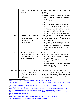|            | came into force by Directive<br>2011/7/EU <sup>14</sup>                                                                                                    | combating<br>late<br>payment<br>in<br>commercial<br>transactions.<br><b>Statutory Provisions:</b><br>$\bullet$<br>$\triangleright$ Payment cannot be longer than 30 days<br>from receipt of Invoice or equivalent<br>request. <sup>15</sup><br>In case of SMEs, the payment cannot exceed<br>➤<br>30 days. $^{16}$<br>$\triangleright$ when the date of receipt of the invoice or<br>the equivalent request for payment is<br>uncertain or the debtor receives the invoice<br>or equivalent request for payment before<br>the goods or services, 30 calendar days from<br>the date of receipt of the goods or services. <sup>17</sup> |
|------------|------------------------------------------------------------------------------------------------------------------------------------------------------------|---------------------------------------------------------------------------------------------------------------------------------------------------------------------------------------------------------------------------------------------------------------------------------------------------------------------------------------------------------------------------------------------------------------------------------------------------------------------------------------------------------------------------------------------------------------------------------------------------------------------------------------|
| Russia     | Penalty<br>for<br>delayed<br>$\bullet$<br>payments provided by law<br>cannot be claimed if the<br>same is not mentioned in<br>the Agreement. <sup>18</sup> | Article 395 of the Civil Code of Russia provides<br>for creditor to claim for recovery of interest due<br>to non- fulfilment or delay in fulfilment of<br>monetary obligation. <sup>19</sup><br>If the penalty is unreasonable, the Court<br>➤<br>shall be entitled to decrease the amount of<br>penalty only if the debtor files a motion for<br>such request [Article 333 of the Civil code of<br>Russia $]^{20}$                                                                                                                                                                                                                   |
| <b>UAE</b> | The Commercial Code takes<br>$\bullet$<br>precedence over the UAE<br>Civil Code in respect of the<br>commercial transactions <sup>21</sup>                 | The UAE Commercial Code <sup>22</sup> :<br>$\bullet$<br>$\triangleright$ if contractually agreed, a creditor is entitled<br>to interest as compensation for delayed<br>payment either<br>at the rate agreed by the parties (Article<br>➤<br>77) $^{23}$ ; or<br>at the prevailing market rate subject to a<br>➤<br>maximum of 12% in the absence of<br>agreement (Article 76)                                                                                                                                                                                                                                                         |
| Singapore  | Contract laws<br>based<br>$\bullet$<br>on<br>English Common Law. Much<br>of the law on contracts in<br>Singapore are in the form of<br>Judgements.         | If the sum is intended to be a penalty aimed at<br>$\bullet$<br>'punishing' the party-in-breach, the court will<br>strike down the 'penalty' clause and award<br>unliquidated damages instead to compensate<br>the aggrieved party. <sup>24</sup>                                                                                                                                                                                                                                                                                                                                                                                     |

<span id="page-3-0"></span><sup>14</sup> <https://eur-lex.europa.eu/legal-content/EN/ALL/?uri=CELEX%3A32011L0007>

<span id="page-3-7"></span><sup>21</sup> [https://www.mondaq.com/contracts-and-commercial-law/786820/applicability-and-legal-entitlement-to-interest](https://www.mondaq.com/contracts-and-commercial-law/786820/applicability-and-legal-entitlement-to-interest-under-uae-law)[under-uae-law](https://www.mondaq.com/contracts-and-commercial-law/786820/applicability-and-legal-entitlement-to-interest-under-uae-law)

<span id="page-3-6"></span><sup>20</sup> <https://www.legalmondo.com/2018/09/russia-contractual-penalty-can-exceed-total-value-contract/>

<span id="page-3-5"></span><sup>19</sup> <http://supcourt.ru/en/files/16418/>

<span id="page-3-4"></span><sup>18</sup> [https://www.internationallawoffice.com/Newsletters/Corporate-Commercial/Russia/Noerr/Supreme-Court](https://www.internationallawoffice.com/Newsletters/Corporate-Commercial/Russia/Noerr/Supreme-Court-clarifies-Civil-Code-amendments-regarding-compensation-for-damages-and-contractual-penalties)[clarifies-Civil-Code-amendments-regarding-compensation-for-damages-and-contractual-penalties](https://www.internationallawoffice.com/Newsletters/Corporate-Commercial/Russia/Noerr/Supreme-Court-clarifies-Civil-Code-amendments-regarding-compensation-for-damages-and-contractual-penalties)

<span id="page-3-1"></span><sup>15</sup> [https://www.mondaq.com/contracts-and-commercial-law/823780/stricter-payment-periods-for-commercial](https://www.mondaq.com/contracts-and-commercial-law/823780/stricter-payment-periods-for-commercial-transactions-with-smes?login=true)[transactions-with-smes?login=true](https://www.mondaq.com/contracts-and-commercial-law/823780/stricter-payment-periods-for-commercial-transactions-with-smes?login=true)

<span id="page-3-2"></span> $^{16}$  supra

<span id="page-3-3"></span><sup>17</sup> <https://www.lexology.com/library/detail.aspx?g=bcf3ff53-57bf-4308-947f-4138a1310719>;

<span id="page-3-8"></span><sup>22</sup> <https://uaeahead.com/wp-content/uploads/2014/10/commercial.pdf>

<span id="page-3-9"></span>23 supra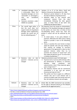| India   | Liquidated damages clause<br>$\bullet$<br>is enforceable. When the<br>liquidated damages are not<br>reasonable or extravagant,<br>considered<br>they<br>are<br>penalty.<br>Statutory provisions under<br>$\bullet$<br><b>MSME Act available</b> | Sections 15 to 17 of the Micro, Small and<br>Medium Enterprises Development Act, 2006<br>Maximum period allowed is 45 days from<br>➤<br>the date of delivery of goods/services.<br>Defaulter liable to pay amount<br>➤<br>with<br>from<br>the<br>interest<br>date<br>compound<br>immediately following the date agreed<br>upon, at three times of the bank rate<br>notified by the Reserve Bank. <sup>25</sup>                                                                                                                                                                                                                                                                                                                                                                                                                     |
|---------|-------------------------------------------------------------------------------------------------------------------------------------------------------------------------------------------------------------------------------------------------|------------------------------------------------------------------------------------------------------------------------------------------------------------------------------------------------------------------------------------------------------------------------------------------------------------------------------------------------------------------------------------------------------------------------------------------------------------------------------------------------------------------------------------------------------------------------------------------------------------------------------------------------------------------------------------------------------------------------------------------------------------------------------------------------------------------------------------|
| China   | The overall legal policy is<br>that the court does not<br>support claims for liquidated<br>damages which significantly<br>exceeds the actual loss of<br>the non-defaulting party. <sup>26</sup>                                                 | The Supreme Court has issued an interpretation<br>$\bullet$<br>stating that if the liquidated damages pre-agreed<br>by the parties are more than 1.3 times of the<br>non-defaulting party's actual loss, then the<br>portion in excess will not be enforced by the<br>court.<br>$\triangleright$ As noted above, if one party defaults in<br>payment, effectively the other party is being<br>forced to provide a loan to the defaulting<br>party.<br>Hence, in practice the court tends to simply<br>➤<br>apply the specific rules and caps relating to<br>loan interest by analogy to non-loan<br>agreements if the agreement is silent on late<br>payment interest, rather than try to<br>ascertain the amount of "actual loan" and<br>then apply the general rule of "no more than<br>1.3 times of actual loss". <sup>27</sup> |
| Japan   | rules<br>Statutory<br>on<br>late<br>$\bullet$<br>payment - Interests can be<br>charged                                                                                                                                                          | Statutory provisions as per Civil Code Japan<br>$\bullet$<br>Payment terms must be within 60 days after<br>➤<br>the performance or delivery, in contracts<br>between<br>companies<br>large<br>and<br>subcontractors, even if they expressly agree<br>upon a longer term. <sup>28</sup><br>The statutory interest rate for commercial<br>transactions is 6 per cent per annum<br>(Commercial Code Art 514). <sup>29</sup><br>The parties are free to agree to a different<br>➤<br>interest rate, but if such interest rate is<br>contrary to public order and morals and such<br>like, the statutory interest rate will apply.                                                                                                                                                                                                      |
| Vietnam | rules<br>Statutory<br>late<br>on<br>$\bullet$<br>payment - Interests can be<br>charged                                                                                                                                                          | Article 306, the 2005 Commercial Law provides<br>for the right to demand interest on the delayed<br>payment by the aggrieved party. <sup>30</sup>                                                                                                                                                                                                                                                                                                                                                                                                                                                                                                                                                                                                                                                                                  |

<sup>24</sup> https://www.singaporelawwatch.sg/About-Singapore-Law/Commercial-Law

<span id="page-4-1"></span><sup>25</sup> [The Micro, Small and Medium Enterprises Development Act, 2006](https://www.singaporelawwatch.sg/About-Singapore-Law/Commercial-Law)

<span id="page-4-2"></span><sup>28</sup> <https://gettingthedealthrough.com/area/88/jurisdiction/36/commercial-contracts-japan/>

<span id="page-4-0"></span><sup>29</sup> <http://www.law.tohoku.ac.jp/kokusaiB2C/overview/contract.html#part3>

 $27$  supra

<sup>26</sup> <https://www.lexology.com/library/detail.aspx?g=e252df8b-52b1-41dd-a17a-1485243bb34b>

<span id="page-4-3"></span><sup>&</sup>lt;sup>30</sup> https://www.wto.org/english/thewto\_e/acc\_e/vnm\_e/WTACCVNM43\_LEG\_11.pdf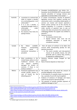|            |                                                                                                                                                                                                                                                                                                                   | Precedent No.09/2016/AL3 and Article 114,<br>$\bullet$<br>Resolution No.01/2019/NQ-HDTP provide details<br>towards calculation of 'average interest rate<br>applicable to overdue debts in the market'. 31                                                                                                                                                                                                                                                                                                                                                                                                                                                                   |
|------------|-------------------------------------------------------------------------------------------------------------------------------------------------------------------------------------------------------------------------------------------------------------------------------------------------------------------|------------------------------------------------------------------------------------------------------------------------------------------------------------------------------------------------------------------------------------------------------------------------------------------------------------------------------------------------------------------------------------------------------------------------------------------------------------------------------------------------------------------------------------------------------------------------------------------------------------------------------------------------------------------------------|
| Australia  | a provision in a contract that<br>$\bullet$<br>seeks to impose a penalty<br>on a contracting party, is not<br>enforceable. <sup>32</sup><br>If it is not a penalty, a<br>٠<br>liquidated damages clause is<br>enforceable<br>under<br>Australian law. 33<br>No statutory time limits for<br>٠<br>paying invoices. | In certain circumstances, security of payment<br>legislation ensures that suppliers carrying out<br>construction work or providing related goods or<br>services can receive and recover payments.<br>Parties cannot contract out of the security of<br>payment legislation. If a customer is required<br>under security of payment laws to pay an<br>invoice, this does not prevent the customer later<br>challenging whether the supplier was entitled to<br>payment. <sup>34</sup><br>Statutory Interest:<br>$\triangleright$ No statutory interest rates<br>Agreed interest rates must not<br>be<br>exorbitant<br>otherwise<br>it<br>would<br>be<br>considered a penalty. |
| Canada     | available.<br>Statue<br>No.<br>$\bullet$<br>incorporating<br>However,<br>penalty<br>clause<br>in<br>commercial transactions is<br>prevalent.                                                                                                                                                                      | Over all nature of contract to be taken into<br>account while incorporating penalty for late<br>payment provisions:<br>$\triangleright$ The courts consider such late-payment<br>clauses to be penalty clauses, but will<br>generally seek to reduce their severity,<br>as opposed to nullifying them. <sup>35</sup>                                                                                                                                                                                                                                                                                                                                                         |
| <b>USA</b> | Most jurisdictions in the<br>$\bullet$<br>United States adhere to the<br>traditional<br>common<br>law<br>rule<br>against<br>punitive<br>damages for breach<br>of<br>contract, if there is no<br>tortious conduct; <sup>36</sup>                                                                                   | Statutory interests maybe charged on<br>late<br>payment;<br>Rate of interest depends on State laws; <sup>37</sup>                                                                                                                                                                                                                                                                                                                                                                                                                                                                                                                                                            |
| Mexico     | Promissory agreements may<br>$\bullet$<br>include penalty clauses in<br>of breach<br>by the<br>case<br>defaulting party. <sup>38</sup>                                                                                                                                                                            | The penalty must not exceed the amount of<br>$\bullet$<br>principal obligation of the contract.<br>In the absence of a penalty clause, by statute of<br>law, a penalty of up to 6% may be applied;<br>Evidence of existence of damages and losses<br>need not be proved to demand penalty.<br>The payment of penalty excludes payment of<br>additional damages or loss <sup>39</sup>                                                                                                                                                                                                                                                                                         |

<span id="page-5-0"></span><sup>31</sup> [https://www.lexology.com/library/detail.aspx?g=ce037376-f1a2-49cb-8f13-dbfb121](https://www.wto.org/english/thewto_e/acc_e/vnm_e/WTACCVNM43_LEG_11.pdf)0f7da

<span id="page-5-5"></span><sup>36</sup> <https://gettingthedealthrough.com/area/88/jurisdiction/5/commercial-contracts-usa>

<span id="page-5-4"></span><sup>35</sup> [https://www.mondaq.com/canada/contracts-and-commercial-law/348484/contractual-clauses-dealing-with-](https://www.mondaq.com/canada/contracts-and-commercial-law/348484/contractual-clauses-dealing-with-interest-on-late-payments-proceed-with-caution)

[interest-on-late-payments-proceed-with-caution](https://www.mondaq.com/canada/contracts-and-commercial-law/348484/contractual-clauses-dealing-with-interest-on-late-payments-proceed-with-caution)

<span id="page-5-3"></span><sup>&</sup>lt;sup>34</sup> Supra

<span id="page-5-2"></span><sup>33</sup> <https://www.lexology.com/library/detail.aspx?g=a231a53e-9b69-41f0-9999-185581e35796>

<span id="page-5-1"></span><sup>&</sup>lt;sup>32</sup> <https://www.mondaq.com/australia/contracts-and-commercial-law/521648/penalties-in-contracts>

<span id="page-5-6"></span> $37 \overline{\text{supra}}$ 

<span id="page-5-7"></span><sup>38</sup> EY Global Legal Commercial Terms Handbook, 2017